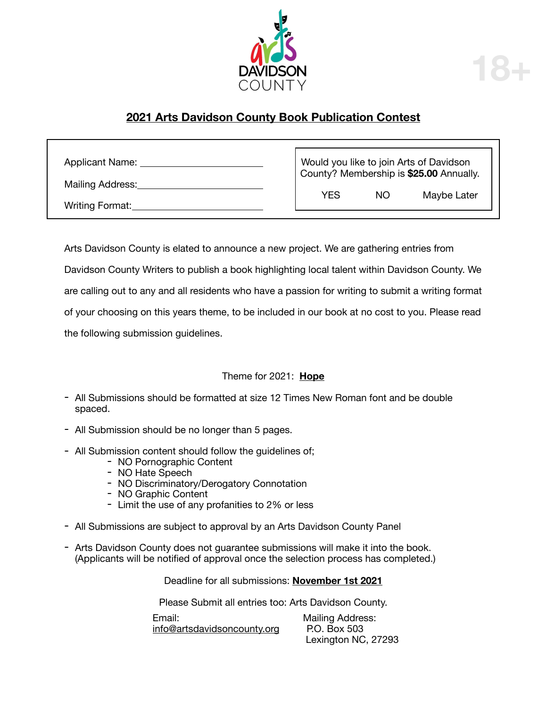

## **2021 Arts Davidson County Book Publication Contest**

| <b>Applicant Name:</b> | Would you like to join Arts of Davidson<br>County? Membership is \$25.00 Annually. |    |             |
|------------------------|------------------------------------------------------------------------------------|----|-------------|
| Mailing Address:       | YES                                                                                | NΟ | Maybe Later |
| Writing Format:        |                                                                                    |    |             |

Arts Davidson County is elated to announce a new project. We are gathering entries from Davidson County Writers to publish a book highlighting local talent within Davidson County. We are calling out to any and all residents who have a passion for writing to submit a writing format of your choosing on this years theme, to be included in our book at no cost to you. Please read the following submission guidelines.

### Theme for 2021: **Hope**

- All Submissions should be formatted at size 12 Times New Roman font and be double spaced.
- All Submission should be no longer than 5 pages.
- All Submission content should follow the guidelines of;
	- NO Pornographic Content
	- NO Hate Speech
	- NO Discriminatory/Derogatory Connotation
	- NO Graphic Content
	- Limit the use of any profanities to 2% or less
- All Submissions are subject to approval by an Arts Davidson County Panel
- Arts Davidson County does not guarantee submissions will make it into the book. (Applicants will be notified of approval once the selection process has completed.)

Deadline for all submissions: **November 1st 2021**

Please Submit all entries too: Arts Davidson County.

Email: **Mailing Address:**<br>
info@artsdavidsoncounty.org P.O. Box 503 info@artsdavidsoncounty.org

 Lexington NC, 27293